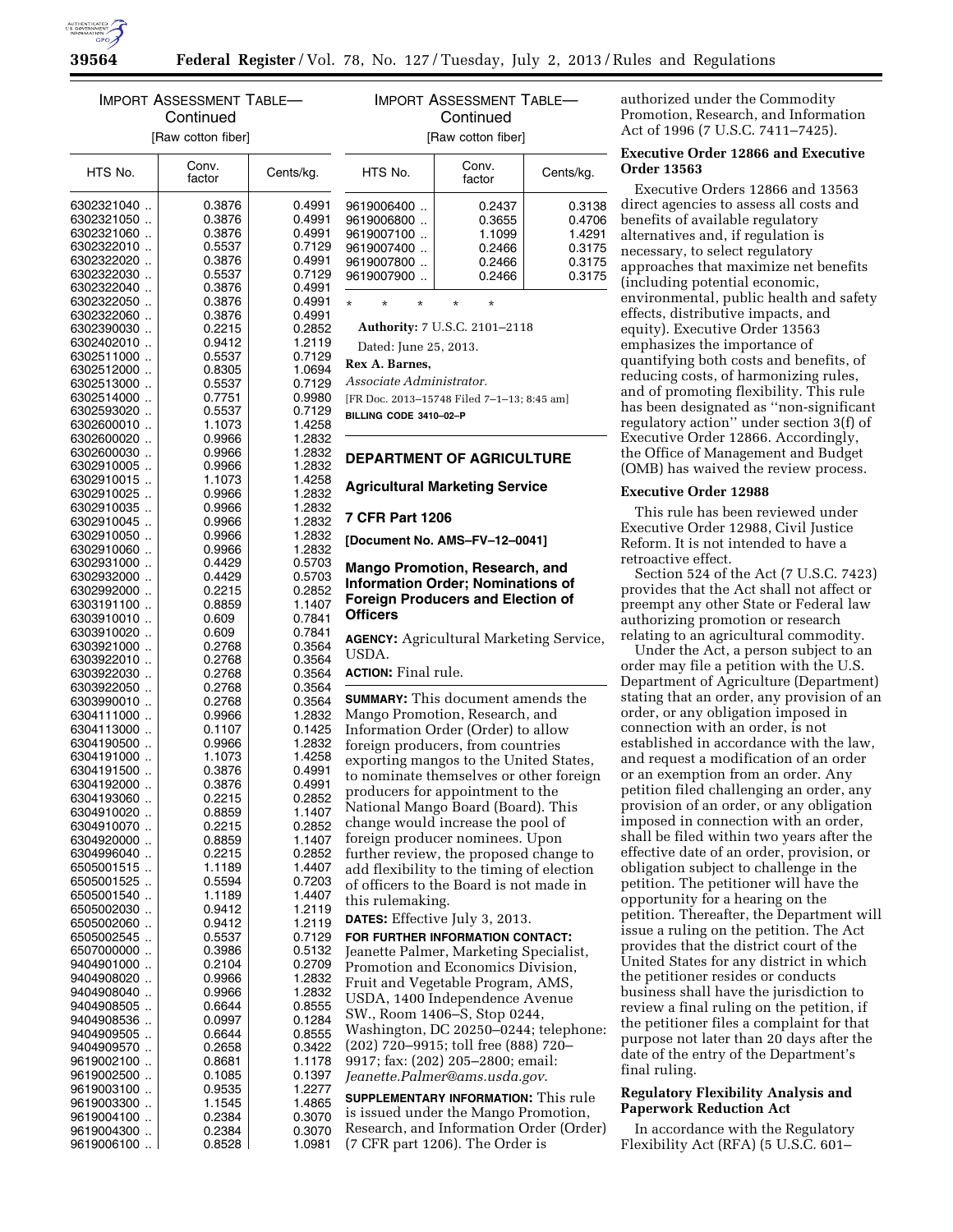

# IMPORT ASSESSMENT TABLE— **Continued** [Raw cotton fiber]

| IMPORT ASSESSMENT TABLE- |
|--------------------------|
| Continued                |
| <b>Raw cotton fiberl</b> |

 $HTS$  No.  $\Big|\qquad\begin{matrix} \text{Conv.} \\ \text{factor} \end{matrix}\Big|$ Cents/kg. 6302321040 .. 0 .3876 0 .4991 6302321050 .. 0.3876 0.4991<br>6302321060 .. 0.3876 0.4991 6302321060 .. 0 .3876 0 .4991 6302322010 .. 6302322020 .. 0 .3876 0 .4991 6302322030 .. 0.5537 0.7129<br>6302322040 .. 0.3876 0.4991 6302322040 .. 0.3876<br>6302322050 .. 0.3876 6302322050 .. | 0.3876 | 0.4991<br>6302322060 .. | 0.3876 | 0.4991 6302322060 .. 0 .3876 0 .4991 6302390030 ..  $\begin{array}{c|c|c|c|c} \hline 6302402010 & . & 0.9412 & 1.2119 \\ 6302511000 & . & 0.5537 & 0.7129 \end{array}$  $\begin{array}{c|c|c|c|c} \hline \text{6302511000} & \text{ } & \text{0.5537} & \text{0.7129} \\ \hline \text{6302512000} & & & \text{0.8305} & \text{1.0694} \end{array}$ 6302512000 ..  $6302513000$  ..  $\vert$  0.5537  $\vert$  0.7129 6302514000 .. 0.7751 0.9980<br>6302593020 .. 0.5537 0.7129 6302593020 .. 0 .5537 0 .7129 6302600010 .. | 1.1073 | 1.4258<br>6302600020 .. | 0.9966 | 1.2832 6302600020 .. 0.9966 1.2832<br>6302600030 .. 0.9966 1.2832 6302600030 .. 6302910005 .. 0.9966 1.2832<br>6302910015 .. 1.1073 1.4258  $\begin{array}{c|c|c|c|c} 6302910015 & . & 1.1073 & 1.4258 \\ 6302910025 & . & 0.9966 & 1.2832 \end{array}$ 6302910025 .. 6302910035 .. 0.9966 1.2832<br>6302910045 .. 0.9966 1.2832 6302910045 .. 0.9966 1.2832<br>6302910050 .. 0.9966 1.2832 6302910050 .. 0.9966 1.2832<br>6302910060 .. 0.9966 1.2832 6302910060 .. 0.9966 1.2832<br>6302931000 .. 0.4429 0.5703 6302931000 .. 6302932000 .. 0 .4429 0 .5703  $6302992000$  ..  $\begin{array}{|c|c|c|c|c|} \hline 6302992000 & . & 0.2215 & 0.2852 \ \hline 6303191100 & . & 0.8859 & 1.1407 \ \hline \end{array}$ 6303191100 .. 6303910010 .. 0 .609 0 .7841 6303910020 .. 6303921000 .. 0.2768 | 0.3564 6303922010 .. 0.2768 0.3564<br>6303922030 .. 0.2768 0.3564 6303922030 .. 6303922050 .. 0 .2768 0 .3564  $\begin{array}{cc} 6303990010 & . & 0.2768 & 0.3564 \\ 6304111000 & . & 0.9966 & 1.2832 \end{array}$ 6304111000 . 6304113000 .. 0.1107 0.1425<br>6304190500 .. 0.9966 1.2832 6304190500 .. 0.9966 1.2832<br>6304191000 .. 1.1073 1.4258 6304191000 .. | 1.1073 6304191500 .. 0 .3876 0 .4991 6304192000 .. 0 .3876 0 .4991 6304193060 .. 0.2215 0.2852<br>6304910020 .. 0.8859 1.1407 6304910020 .. 0.8859 1.1407<br>6304910070 .. 0.2215 0.2852 6304910070 .. 0.2215 0.2852<br>6304920000 .. 0.8859 1.1407 6304920000 .. 0.8859 1.1407<br>6304996040 .. 0.2215 0.2852 6304996040 .. 0.2215 0.2852<br>6505001515 .. 1.1189 1.4407 6505001515 .. 1 .1189 1 .4407 6505001525 .. 0.5594 0.7203<br>6505001540 .. 1.1189 1.4407 6505001540 .. 6505002030 .. | 0.9412 | 1.2119<br>6505002060 .. | 0.9412 | 1.2119 6505002060 .. 0.9412<br>6505002545 .. 0.5537 6505002545 .. 0 .5537 0 .7129 6507000000 .. 0.3986 0.5132<br>9404901000 .. 0.2104 0.2709 9404901000 .. 0.2104 0.2709<br>9404908020 .. 0.9966 1.2832 9404908020 .. 9404908040 .. 0.9966 1.2832<br>9404908505 .. 0.6644 0.8555 9404908505 .. 0.6644 0.8555<br>9404908536 .. 0.0997 0.1284 9404908536 .. | 0.0997 | 0.1284<br>9404909505 .. | 0.6644 | 0.8555 9404909505 .. 0.6644 0.8555<br>9404909570 .. 0.2658 0.3422 9404909570 .. 9619002100 .. 0.8681 1.1178<br>9619002500 .. 0.1085 0.1397 9619002500 .. 0.1085 0.1397<br>9619003100 .. 0.9535 1.2277 9619003100 .. 0.9535 1.2277<br>9619003300 .. 1.1545 1.1865 9619003300 .. | 1.1545 | 1.4865<br>9619004100 .. | 0.2384 | 0.3070 9619004100 .. 0.2384 0.3070<br>9619004300 0.2384 0.3070 9619004300 .. | 0.2384 | 0.3070<br>9619006100 .. | 0.8528 | 1.0981 9619006100 ..  $HTS$  No.  $\Big|\qquad\begin{array}{c} \text{Conv.} \\ \text{factor}\end{array}$ Cents/kg. 9619006400 .. 0.2437 0.3138<br>9619006800 0.3655 0.4706 9619006800 .. 0.3655 0.4706<br>9619007100 .. 1.1099 1.4291 9619007100 .. | 1.1099 | 1.4291<br>9619007400 .. | 0.2466 | 0.3175 9619007400 .. 0.2466 9619007800 .. 0.2466 0.3175<br>9619007900 .. 0.2466 0.3175 9619007900 .. \* \* \* \* \* **Authority:** 7 U.S.C. 2101–2118 Dated: June 25, 2013. **Rex A. Barnes,**  *Associate Administrator.*  [FR Doc. 2013–15748 Filed 7–1–13; 8:45 am] **BILLING CODE 3410–02–P DEPARTMENT OF AGRICULTURE Agricultural Marketing Service 7 CFR Part 1206 [Document No. AMS–FV–12–0041] Mango Promotion, Research, and Information Order; Nominations of Foreign Producers and Election of Officers AGENCY:** Agricultural Marketing Service, USDA. **ACTION:** Final rule. **SUMMARY:** This document amends the Mango Promotion, Research, and Information Order (Order) to allow foreign producers, from countries exporting mangos to the United States, to nominate themselves or other foreign producers for appointment to the National Mango Board (Board). This change would increase the pool of foreign producer nominees. Upon further review, the proposed change to add flexibility to the timing of election of officers to the Board is not made in this rulemaking. **DATES:** Effective July 3, 2013. **FOR FURTHER INFORMATION CONTACT:**  Jeanette Palmer, Marketing Specialist, Promotion and Economics Division, Fruit and Vegetable Program, AMS, USDA, 1400 Independence Avenue SW., Room 1406–S, Stop 0244, Washington, DC 20250–0244; telephone: (202) 720–9915; toll free (888) 720– 9917; fax: (202) 205–2800; email: *[Jeanette.Palmer@ams.usda.gov](mailto:Jeanette.Palmer@ams.usda.gov)*. **SUPPLEMENTARY INFORMATION:** This rule is issued under the Mango Promotion, Research, and Information Order (Order) (7 CFR part 1206). The Order is

authorized under the Commodity Promotion, Research, and Information Act of 1996 (7 U.S.C. 7411–7425).

# **Executive Order 12866 and Executive Order 13563**

Executive Orders 12866 and 13563 direct agencies to assess all costs and benefits of available regulatory alternatives and, if regulation is necessary, to select regulatory approaches that maximize net benefits (including potential economic, environmental, public health and safety effects, distributive impacts, and equity). Executive Order 13563 emphasizes the importance of quantifying both costs and benefits, of reducing costs, of harmonizing rules, and of promoting flexibility. This rule has been designated as ''non-significant regulatory action'' under section 3(f) of Executive Order 12866. Accordingly, the Office of Management and Budget (OMB) has waived the review process.

### **Executive Order 12988**

This rule has been reviewed under Executive Order 12988, Civil Justice Reform. It is not intended to have a retroactive effect.

Section 524 of the Act (7 U.S.C. 7423) provides that the Act shall not affect or preempt any other State or Federal law authorizing promotion or research relating to an agricultural commodity.

Under the Act, a person subject to an order may file a petition with the U.S. Department of Agriculture (Department) stating that an order, any provision of an order, or any obligation imposed in connection with an order, is not established in accordance with the law, and request a modification of an order or an exemption from an order. Any petition filed challenging an order, any provision of an order, or any obligation imposed in connection with an order, shall be filed within two years after the effective date of an order, provision, or obligation subject to challenge in the petition. The petitioner will have the opportunity for a hearing on the petition. Thereafter, the Department will issue a ruling on the petition. The Act provides that the district court of the United States for any district in which the petitioner resides or conducts business shall have the jurisdiction to review a final ruling on the petition, if the petitioner files a complaint for that purpose not later than 20 days after the date of the entry of the Department's final ruling.

# **Regulatory Flexibility Analysis and Paperwork Reduction Act**

In accordance with the Regulatory Flexibility Act (RFA) (5 U.S.C. 601–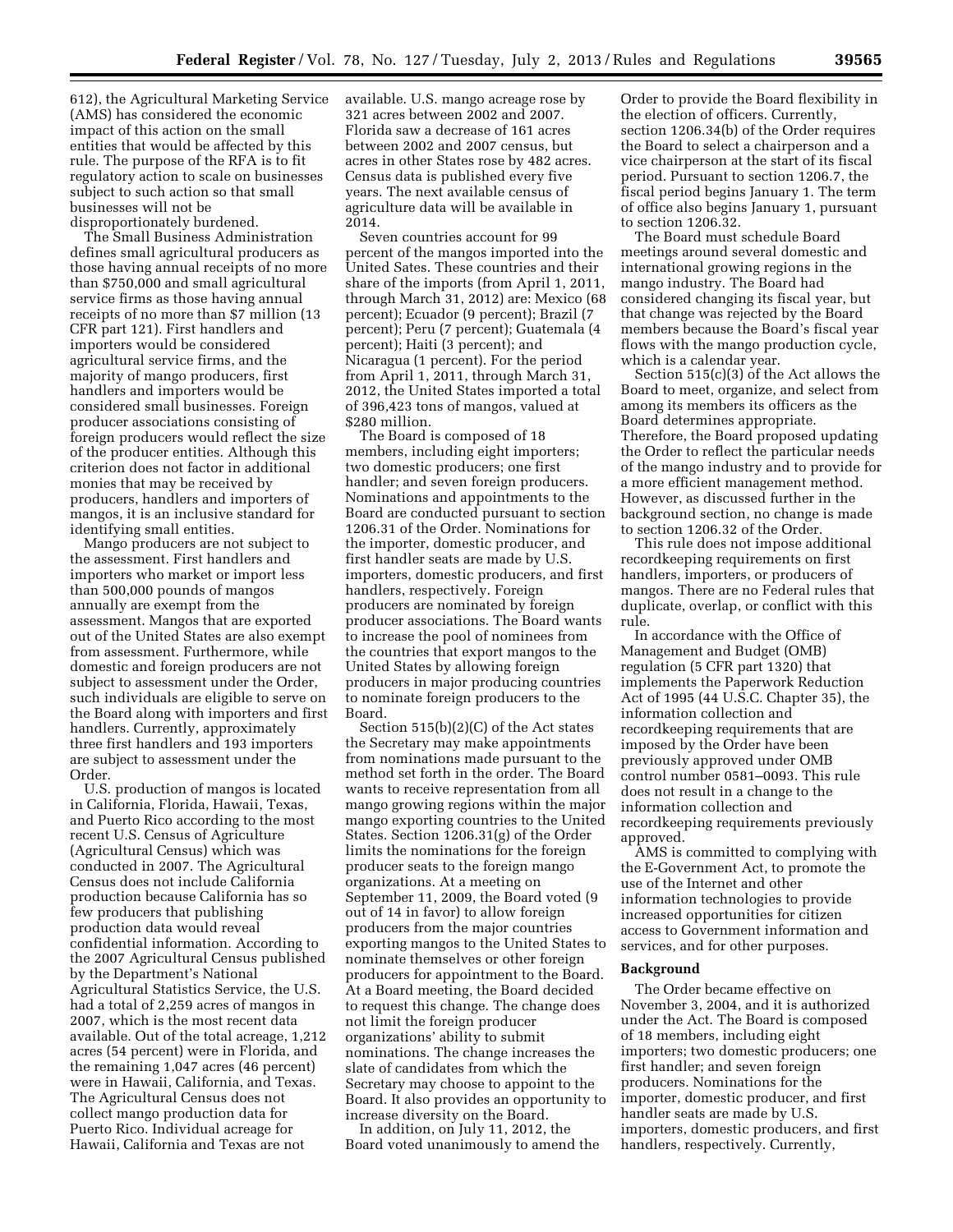612), the Agricultural Marketing Service (AMS) has considered the economic impact of this action on the small entities that would be affected by this rule. The purpose of the RFA is to fit regulatory action to scale on businesses subject to such action so that small businesses will not be disproportionately burdened.

The Small Business Administration defines small agricultural producers as those having annual receipts of no more than \$750,000 and small agricultural service firms as those having annual receipts of no more than \$7 million (13 CFR part 121). First handlers and importers would be considered agricultural service firms, and the majority of mango producers, first handlers and importers would be considered small businesses. Foreign producer associations consisting of foreign producers would reflect the size of the producer entities. Although this criterion does not factor in additional monies that may be received by producers, handlers and importers of mangos, it is an inclusive standard for identifying small entities.

Mango producers are not subject to the assessment. First handlers and importers who market or import less than 500,000 pounds of mangos annually are exempt from the assessment. Mangos that are exported out of the United States are also exempt from assessment. Furthermore, while domestic and foreign producers are not subject to assessment under the Order, such individuals are eligible to serve on the Board along with importers and first handlers. Currently, approximately three first handlers and 193 importers are subject to assessment under the Order.

U.S. production of mangos is located in California, Florida, Hawaii, Texas, and Puerto Rico according to the most recent U.S. Census of Agriculture (Agricultural Census) which was conducted in 2007. The Agricultural Census does not include California production because California has so few producers that publishing production data would reveal confidential information. According to the 2007 Agricultural Census published by the Department's National Agricultural Statistics Service, the U.S. had a total of 2,259 acres of mangos in 2007, which is the most recent data available. Out of the total acreage, 1,212 acres (54 percent) were in Florida, and the remaining 1,047 acres (46 percent) were in Hawaii, California, and Texas. The Agricultural Census does not collect mango production data for Puerto Rico. Individual acreage for Hawaii, California and Texas are not

available. U.S. mango acreage rose by 321 acres between 2002 and 2007. Florida saw a decrease of 161 acres between 2002 and 2007 census, but acres in other States rose by 482 acres. Census data is published every five years. The next available census of agriculture data will be available in 2014.

Seven countries account for 99 percent of the mangos imported into the United Sates. These countries and their share of the imports (from April 1, 2011, through March 31, 2012) are: Mexico (68 percent); Ecuador (9 percent); Brazil (7 percent); Peru (7 percent); Guatemala (4 percent); Haiti (3 percent); and Nicaragua (1 percent). For the period from April 1, 2011, through March 31, 2012, the United States imported a total of 396,423 tons of mangos, valued at \$280 million.

The Board is composed of 18 members, including eight importers; two domestic producers; one first handler; and seven foreign producers. Nominations and appointments to the Board are conducted pursuant to section 1206.31 of the Order. Nominations for the importer, domestic producer, and first handler seats are made by U.S. importers, domestic producers, and first handlers, respectively. Foreign producers are nominated by foreign producer associations. The Board wants to increase the pool of nominees from the countries that export mangos to the United States by allowing foreign producers in major producing countries to nominate foreign producers to the Board.

Section 515(b)(2)(C) of the Act states the Secretary may make appointments from nominations made pursuant to the method set forth in the order. The Board wants to receive representation from all mango growing regions within the major mango exporting countries to the United States. Section 1206.31(g) of the Order limits the nominations for the foreign producer seats to the foreign mango organizations. At a meeting on September 11, 2009, the Board voted (9 out of 14 in favor) to allow foreign producers from the major countries exporting mangos to the United States to nominate themselves or other foreign producers for appointment to the Board. At a Board meeting, the Board decided to request this change. The change does not limit the foreign producer organizations' ability to submit nominations. The change increases the slate of candidates from which the Secretary may choose to appoint to the Board. It also provides an opportunity to increase diversity on the Board.

In addition, on July 11, 2012, the Board voted unanimously to amend the Order to provide the Board flexibility in the election of officers. Currently, section 1206.34(b) of the Order requires the Board to select a chairperson and a vice chairperson at the start of its fiscal period. Pursuant to section 1206.7, the fiscal period begins January 1. The term of office also begins January 1, pursuant to section 1206.32.

The Board must schedule Board meetings around several domestic and international growing regions in the mango industry. The Board had considered changing its fiscal year, but that change was rejected by the Board members because the Board's fiscal year flows with the mango production cycle, which is a calendar year.

Section 515(c)(3) of the Act allows the Board to meet, organize, and select from among its members its officers as the Board determines appropriate. Therefore, the Board proposed updating the Order to reflect the particular needs of the mango industry and to provide for a more efficient management method. However, as discussed further in the background section, no change is made to section 1206.32 of the Order.

This rule does not impose additional recordkeeping requirements on first handlers, importers, or producers of mangos. There are no Federal rules that duplicate, overlap, or conflict with this rule.

In accordance with the Office of Management and Budget (OMB) regulation (5 CFR part 1320) that implements the Paperwork Reduction Act of 1995 (44 U.S.C. Chapter 35), the information collection and recordkeeping requirements that are imposed by the Order have been previously approved under OMB control number 0581–0093. This rule does not result in a change to the information collection and recordkeeping requirements previously approved.

AMS is committed to complying with the E-Government Act, to promote the use of the Internet and other information technologies to provide increased opportunities for citizen access to Government information and services, and for other purposes.

#### **Background**

The Order became effective on November 3, 2004, and it is authorized under the Act. The Board is composed of 18 members, including eight importers; two domestic producers; one first handler; and seven foreign producers. Nominations for the importer, domestic producer, and first handler seats are made by U.S. importers, domestic producers, and first handlers, respectively. Currently,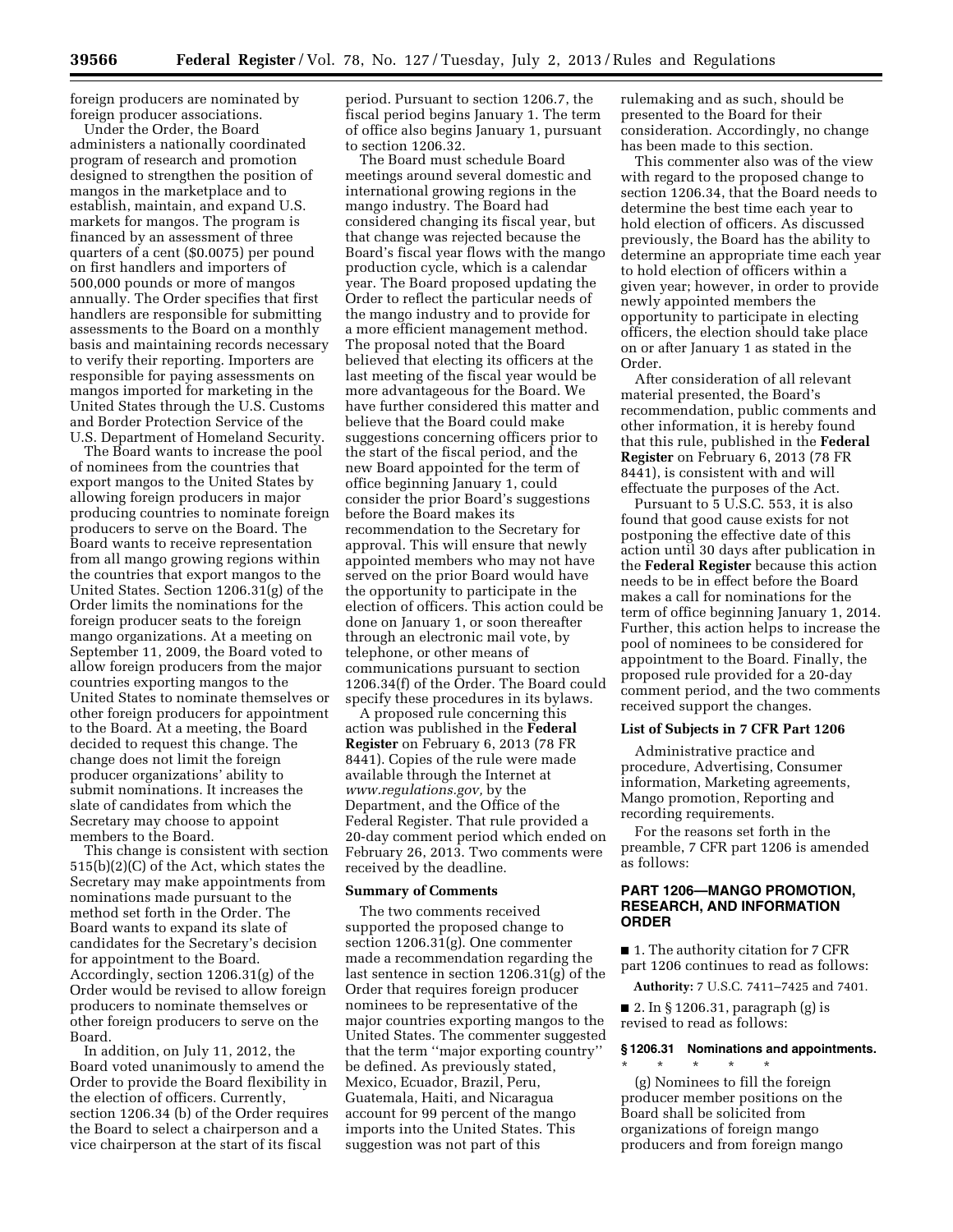foreign producers are nominated by foreign producer associations.

Under the Order, the Board administers a nationally coordinated program of research and promotion designed to strengthen the position of mangos in the marketplace and to establish, maintain, and expand U.S. markets for mangos. The program is financed by an assessment of three quarters of a cent (\$0.0075) per pound on first handlers and importers of 500,000 pounds or more of mangos annually. The Order specifies that first handlers are responsible for submitting assessments to the Board on a monthly basis and maintaining records necessary to verify their reporting. Importers are responsible for paying assessments on mangos imported for marketing in the United States through the U.S. Customs and Border Protection Service of the U.S. Department of Homeland Security.

The Board wants to increase the pool of nominees from the countries that export mangos to the United States by allowing foreign producers in major producing countries to nominate foreign producers to serve on the Board. The Board wants to receive representation from all mango growing regions within the countries that export mangos to the United States. Section 1206.31(g) of the Order limits the nominations for the foreign producer seats to the foreign mango organizations. At a meeting on September 11, 2009, the Board voted to allow foreign producers from the major countries exporting mangos to the United States to nominate themselves or other foreign producers for appointment to the Board. At a meeting, the Board decided to request this change. The change does not limit the foreign producer organizations' ability to submit nominations. It increases the slate of candidates from which the Secretary may choose to appoint members to the Board.

This change is consistent with section 515(b)(2)(C) of the Act, which states the Secretary may make appointments from nominations made pursuant to the method set forth in the Order. The Board wants to expand its slate of candidates for the Secretary's decision for appointment to the Board. Accordingly, section 1206.31(g) of the Order would be revised to allow foreign producers to nominate themselves or other foreign producers to serve on the Board.

In addition, on July 11, 2012, the Board voted unanimously to amend the Order to provide the Board flexibility in the election of officers. Currently, section 1206.34 (b) of the Order requires the Board to select a chairperson and a vice chairperson at the start of its fiscal

period. Pursuant to section 1206.7, the fiscal period begins January 1. The term of office also begins January 1, pursuant to section 1206.32.

The Board must schedule Board meetings around several domestic and international growing regions in the mango industry. The Board had considered changing its fiscal year, but that change was rejected because the Board's fiscal year flows with the mango production cycle, which is a calendar year. The Board proposed updating the Order to reflect the particular needs of the mango industry and to provide for a more efficient management method. The proposal noted that the Board believed that electing its officers at the last meeting of the fiscal year would be more advantageous for the Board. We have further considered this matter and believe that the Board could make suggestions concerning officers prior to the start of the fiscal period, and the new Board appointed for the term of office beginning January 1, could consider the prior Board's suggestions before the Board makes its recommendation to the Secretary for approval. This will ensure that newly appointed members who may not have served on the prior Board would have the opportunity to participate in the election of officers. This action could be done on January 1, or soon thereafter through an electronic mail vote, by telephone, or other means of communications pursuant to section 1206.34(f) of the Order. The Board could specify these procedures in its bylaws.

A proposed rule concerning this action was published in the **Federal Register** on February 6, 2013 (78 FR 8441). Copies of the rule were made available through the Internet at *[www.regulations.gov,](http://www.regulations.gov)* by the Department, and the Office of the Federal Register. That rule provided a 20-day comment period which ended on February 26, 2013. Two comments were received by the deadline.

## **Summary of Comments**

The two comments received supported the proposed change to section 1206.31(g). One commenter made a recommendation regarding the last sentence in section 1206.31(g) of the Order that requires foreign producer nominees to be representative of the major countries exporting mangos to the United States. The commenter suggested that the term ''major exporting country'' be defined. As previously stated, Mexico, Ecuador, Brazil, Peru, Guatemala, Haiti, and Nicaragua account for 99 percent of the mango imports into the United States. This suggestion was not part of this

rulemaking and as such, should be presented to the Board for their consideration. Accordingly, no change has been made to this section.

This commenter also was of the view with regard to the proposed change to section 1206.34, that the Board needs to determine the best time each year to hold election of officers. As discussed previously, the Board has the ability to determine an appropriate time each year to hold election of officers within a given year; however, in order to provide newly appointed members the opportunity to participate in electing officers, the election should take place on or after January 1 as stated in the Order.

After consideration of all relevant material presented, the Board's recommendation, public comments and other information, it is hereby found that this rule, published in the **Federal Register** on February 6, 2013 (78 FR 8441), is consistent with and will effectuate the purposes of the Act.

Pursuant to 5 U.S.C. 553, it is also found that good cause exists for not postponing the effective date of this action until 30 days after publication in the **Federal Register** because this action needs to be in effect before the Board makes a call for nominations for the term of office beginning January 1, 2014. Further, this action helps to increase the pool of nominees to be considered for appointment to the Board. Finally, the proposed rule provided for a 20-day comment period, and the two comments received support the changes.

#### **List of Subjects in 7 CFR Part 1206**

Administrative practice and procedure, Advertising, Consumer information, Marketing agreements, Mango promotion, Reporting and recording requirements.

For the reasons set forth in the preamble, 7 CFR part 1206 is amended as follows:

# **PART 1206—MANGO PROMOTION, RESEARCH, AND INFORMATION ORDER**

■ 1. The authority citation for 7 CFR part 1206 continues to read as follows:

**Authority:** 7 U.S.C. 7411–7425 and 7401.

■ 2. In § 1206.31, paragraph (g) is revised to read as follows:

### **§ 1206.31 Nominations and appointments.**

\* \* \* \* \* (g) Nominees to fill the foreign producer member positions on the Board shall be solicited from organizations of foreign mango producers and from foreign mango